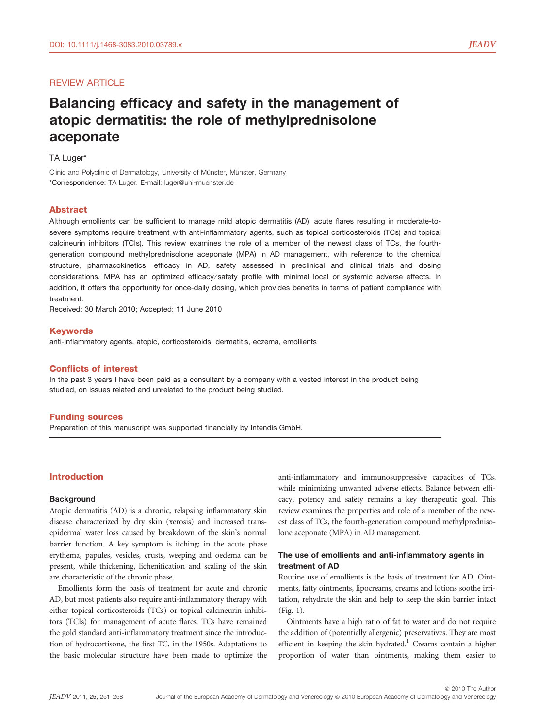# **REVIEW ARTICLE**

# Balancing efficacy and safety in the management of atopic dermatitis: the role of methylprednisolone aceponate

# TA Luger\*

Clinic and Polyclinic of Dermatology, University of Münster, Münster, Germany \*Correspondence: TA Luger. E-mail: luger@uni-muenster.de

# Abstract

Although emollients can be sufficient to manage mild atopic dermatitis (AD), acute flares resulting in moderate-tosevere symptoms require treatment with anti-inflammatory agents, such as topical corticosteroids (TCs) and topical calcineurin inhibitors (TCIs). This review examines the role of a member of the newest class of TCs, the fourthgeneration compound methylprednisolone aceponate (MPA) in AD management, with reference to the chemical structure, pharmacokinetics, efficacy in AD, safety assessed in preclinical and clinical trials and dosing considerations. MPA has an optimized efficacy/safety profile with minimal local or systemic adverse effects. In addition, it offers the opportunity for once-daily dosing, which provides benefits in terms of patient compliance with treatment.

Received: 30 March 2010; Accepted: 11 June 2010

#### Keywords

anti-inflammatory agents, atopic, corticosteroids, dermatitis, eczema, emollients

#### Conflicts of interest

In the past 3 years I have been paid as a consultant by a company with a vested interest in the product being studied, on issues related and unrelated to the product being studied.

#### Funding sources

Preparation of this manuscript was supported financially by Intendis GmbH.

# Introduction

## **Background**

Atopic dermatitis (AD) is a chronic, relapsing inflammatory skin disease characterized by dry skin (xerosis) and increased transepidermal water loss caused by breakdown of the skin's normal barrier function. A key symptom is itching; in the acute phase erythema, papules, vesicles, crusts, weeping and oedema can be present, while thickening, lichenification and scaling of the skin are characteristic of the chronic phase.

Emollients form the basis of treatment for acute and chronic AD, but most patients also require anti-inflammatory therapy with either topical corticosteroids (TCs) or topical calcineurin inhibitors (TCIs) for management of acute flares. TCs have remained the gold standard anti-inflammatory treatment since the introduction of hydrocortisone, the first TC, in the 1950s. Adaptations to the basic molecular structure have been made to optimize the anti-inflammatory and immunosuppressive capacities of TCs, while minimizing unwanted adverse effects. Balance between efficacy, potency and safety remains a key therapeutic goal. This review examines the properties and role of a member of the newest class of TCs, the fourth-generation compound methylprednisolone aceponate (MPA) in AD management.

# The use of emollients and anti-inflammatory agents in treatment of AD

Routine use of emollients is the basis of treatment for AD. Ointments, fatty ointments, lipocreams, creams and lotions soothe irritation, rehydrate the skin and help to keep the skin barrier intact (Fig. 1).

Ointments have a high ratio of fat to water and do not require the addition of (potentially allergenic) preservatives. They are most efficient in keeping the skin hydrated.<sup>1</sup> Creams contain a higher proportion of water than ointments, making them easier to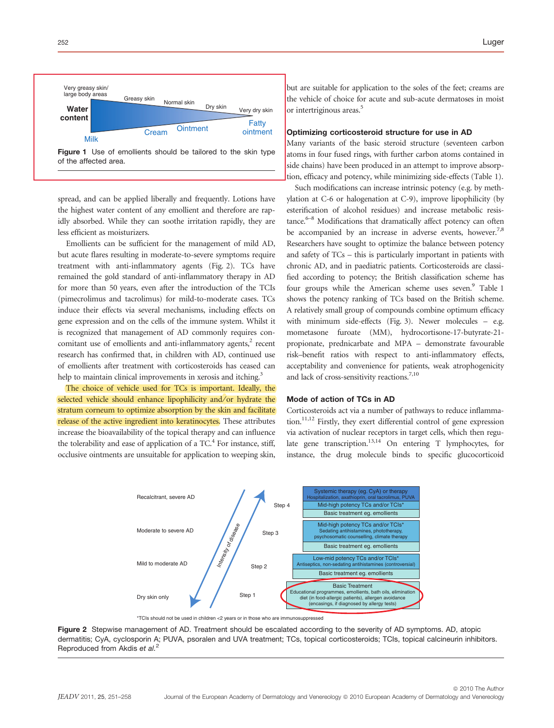

of the affected area.

spread, and can be applied liberally and frequently. Lotions have the highest water content of any emollient and therefore are rapidly absorbed. While they can soothe irritation rapidly, they are less efficient as moisturizers.

Emollients can be sufficient for the management of mild AD, but acute flares resulting in moderate-to-severe symptoms require treatment with anti-inflammatory agents (Fig. 2). TCs have remained the gold standard of anti-inflammatory therapy in AD for more than 50 years, even after the introduction of the TCIs (pimecrolimus and tacrolimus) for mild-to-moderate cases. TCs induce their effects via several mechanisms, including effects on gene expression and on the cells of the immune system. Whilst it is recognized that management of AD commonly requires concomitant use of emollients and anti-inflammatory agents, $\frac{2}{x}$  recent research has confirmed that, in children with AD, continued use of emollients after treatment with corticosteroids has ceased can help to maintain clinical improvements in xerosis and itching.<sup>3</sup>

The choice of vehicle used for TCs is important. Ideally, the selected vehicle should enhance lipophilicity and/or hydrate the stratum corneum to optimize absorption by the skin and facilitate release of the active ingredient into keratinocytes. These attributes increase the bioavailability of the topical therapy and can influence the tolerability and ease of application of a  $TC<sup>4</sup>$  For instance, stiff, occlusive ointments are unsuitable for application to weeping skin,

but are suitable for application to the soles of the feet; creams are the vehicle of choice for acute and sub-acute dermatoses in moist or intertriginous areas.<sup>5</sup>

#### Optimizing corticosteroid structure for use in AD

Many variants of the basic steroid structure (seventeen carbon atoms in four fused rings, with further carbon atoms contained in side chains) have been produced in an attempt to improve absorption, efficacy and potency, while minimizing side-effects (Table 1).

Such modifications can increase intrinsic potency (e.g. by methylation at C-6 or halogenation at C-9), improve lipophilicity (by esterification of alcohol residues) and increase metabolic resis $t$ ance.<sup>6–8</sup> Modifications that dramatically affect potency can often be accompanied by an increase in adverse events, however.<sup>7,8</sup> Researchers have sought to optimize the balance between potency and safety of TCs – this is particularly important in patients with chronic AD, and in paediatric patients. Corticosteroids are classified according to potency; the British classification scheme has four groups while the American scheme uses seven.<sup>9</sup> Table 1 shows the potency ranking of TCs based on the British scheme. A relatively small group of compounds combine optimum efficacy with minimum side-effects (Fig. 3). Newer molecules – e.g. mometasone furoate (MM), hydrocortisone-17-butyrate-21 propionate, prednicarbate and MPA – demonstrate favourable risk–benefit ratios with respect to anti-inflammatory effects, acceptability and convenience for patients, weak atrophogenicity and lack of cross-sensitivity reactions.<sup>7,10</sup>

# Mode of action of TCs in AD

Corticosteroids act via a number of pathways to reduce inflamma- $\chi$  tion.<sup>11,12</sup> Firstly, they exert differential control of gene expression via activation of nuclear receptors in target cells, which then regulate gene transcription.<sup>13,14</sup> On entering T lymphocytes, for instance, the drug molecule binds to specific glucocorticoid



\*TCIs should not be used in children <2 years or in those who are immunosuppressed

Figure 2 Stepwise management of AD. Treatment should be escalated according to the severity of AD symptoms. AD, atopic dermatitis; CyA, cyclosporin A; PUVA, psoralen and UVA treatment; TCs, topical corticosteroids; TCIs, topical calcineurin inhibitors. Reproduced from Akdis et al.<sup>2</sup>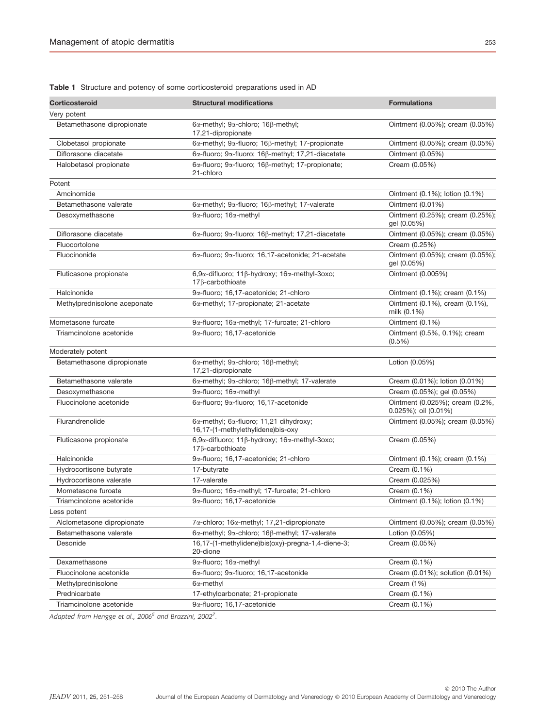| Corticosteroid               | <b>Structural modifications</b>                                                                  | <b>Formulations</b>                                           |
|------------------------------|--------------------------------------------------------------------------------------------------|---------------------------------------------------------------|
| Very potent                  |                                                                                                  |                                                               |
| Betamethasone dipropionate   | $6\alpha$ -methyl; 9 $\alpha$ -chloro; 16 $\beta$ -methyl;<br>17,21-dipropionate                 | Ointment (0.05%); cream (0.05%)                               |
| Clobetasol propionate        | 6α-methyl; 9α-fluoro; 16β-methyl; 17-propionate                                                  | Ointment (0.05%); cream (0.05%)                               |
| Diflorasone diacetate        | 6α-fluoro; 9α-fluoro; 16β-methyl; 17,21-diacetate                                                | Ointment (0.05%)                                              |
| Halobetasol propionate       | 6α-fluoro; 9α-fluoro; 16β-methyl; 17-propionate;<br>21-chloro                                    | Cream (0.05%)                                                 |
| Potent                       |                                                                                                  |                                                               |
| Amcinomide                   |                                                                                                  | Ointment (0.1%); lotion (0.1%)                                |
| Betamethasone valerate       | 6α-methyl; 9α-fluoro; 16β-methyl; 17-valerate                                                    | Ointment (0.01%)                                              |
| Desoxymethasone              | 9α-fluoro; 16α-methyl                                                                            | Ointment (0.25%); cream (0.25%);<br>gel (0.05%)               |
| Diflorasone diacetate        | 6α-fluoro; 9α-fluoro; 16β-methyl; 17,21-diacetate                                                | Ointment (0.05%); cream (0.05%)                               |
| Fluocortolone                |                                                                                                  | Cream (0.25%)                                                 |
| Fluocinonide                 | 6α-fluoro; 9α-fluoro; 16,17-acetonide; 21-acetate                                                | Ointment (0.05%); cream (0.05%);<br>gel (0.05%)               |
| Fluticasone propionate       | $6,9\alpha$ -difluoro; 11 $\beta$ -hydroxy; 16 $\alpha$ -methyl-3oxo;<br>$17\beta$ -carbothioate | Ointment (0.005%)                                             |
| Halcinonide                  | 9α-fluoro; 16,17-acetonide; 21-chloro                                                            | Ointment (0.1%); cream (0.1%)                                 |
| Methylprednisolone aceponate | 6α-methyl; 17-propionate; 21-acetate                                                             | Ointment (0.1%), cream (0.1%),<br>milk (0.1%)                 |
| Mometasone furoate           | 9α-fluoro; 16α-methyl; 17-furoate; 21-chloro                                                     | Ointment (0.1%)                                               |
| Triamcinolone acetonide      | 9x-fluoro; 16,17-acetonide                                                                       | Ointment (0.5%, 0.1%); cream<br>$(0.5\%)$                     |
| Moderately potent            |                                                                                                  |                                                               |
| Betamethasone dipropionate   | 6α-methyl; 9α-chloro; 16β-methyl;<br>17,21-dipropionate                                          | Lotion (0.05%)                                                |
| Betamethasone valerate       | 6α-methyl; 9α-chloro; 16β-methyl; 17-valerate                                                    | Cream (0.01%); lotion (0.01%)                                 |
| Desoxymethasone              | 9α-fluoro; 16α-methyl                                                                            | Cream (0.05%); gel (0.05%)                                    |
| Fluocinolone acetonide       | 6α-fluoro; 9α-fluoro; 16,17-acetonide                                                            | Ointment (0.025%); cream (0.2%,<br>$0.025\%$ ; oil $(0.01\%)$ |
| Flurandrenolide              | 6α-methyl; 6α-fluoro; 11,21 dihydroxy;<br>16,17-(1-methylethylidene)bis-oxy                      | Ointment (0.05%); cream (0.05%)                               |
| Fluticasone propionate       | $6,9\alpha$ -difluoro; 11 $\beta$ -hydroxy; 16 $\alpha$ -methyl-3oxo;<br>$17\beta$ -carbothioate | Cream (0.05%)                                                 |
| Halcinonide                  | 9α-fluoro; 16,17-acetonide; 21-chloro                                                            | Ointment (0.1%); cream (0.1%)                                 |
| Hydrocortisone butyrate      | 17-butyrate                                                                                      | Cream (0.1%)                                                  |
| Hydrocortisone valerate      | 17-valerate                                                                                      | Cream (0.025%)                                                |
| Mometasone furoate           | 9α-fluoro; 16α-methyl; 17-furoate; 21-chloro                                                     | Cream (0.1%)                                                  |
| Triamcinolone acetonide      | 9x-fluoro; 16,17-acetonide                                                                       | Ointment (0.1%); lotion (0.1%)                                |
| Less potent                  |                                                                                                  |                                                               |
| Alclometasone dipropionate   | 7α-chloro; 16α-methyl; 17,21-dipropionate                                                        | Ointment (0.05%); cream (0.05%)                               |
| Betamethasone valerate       | 6α-methyl; 9α-chloro; 16β-methyl; 17-valerate                                                    | Lotion (0.05%)                                                |
| Desonide                     | 16,17-(1-methylidene)bis(oxy)-pregna-1,4-diene-3;<br>20-dione                                    | Cream (0.05%)                                                 |
| Dexamethasone                | 9α-fluoro; $16α$ -methyl                                                                         | Cream (0.1%)                                                  |
| Fluocinolone acetonide       | 6α-fluoro; 9α-fluoro; 16,17-acetonide                                                            | Cream (0.01%); solution (0.01%)                               |
| Methylprednisolone           | $6\alpha$ -methyl                                                                                | Cream (1%)                                                    |
| Prednicarbate                | 17-ethylcarbonate; 21-propionate                                                                 | Cream (0.1%)                                                  |
| Triamcinolone acetonide      | 9α-fluoro; 16,17-acetonide                                                                       | Cream (0.1%)                                                  |

Table 1 Structure and potency of some corticosteroid preparations used in AD

Adapted from Hengge et al., 2006 $^5$  and Brazzini, 2002 $^7$ .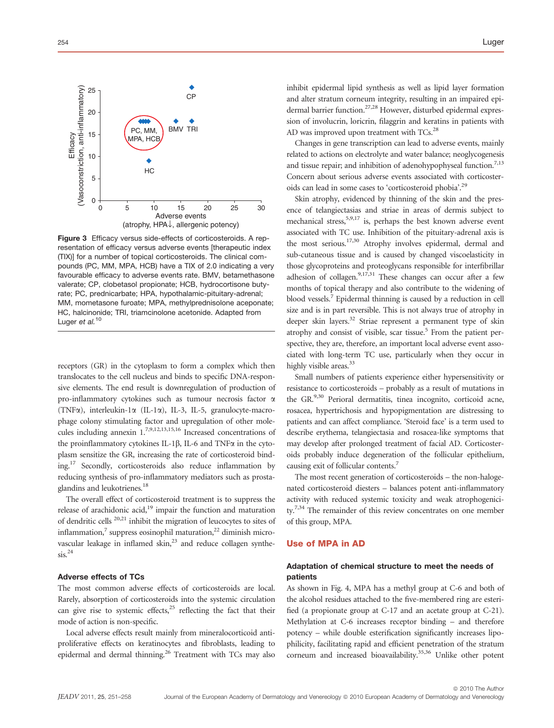

Figure 3 Efficacy versus side-effects of corticosteroids. A representation of efficacy versus adverse events [therapeutic index (TIX)] for a number of topical corticosteroids. The clinical compounds (PC, MM, MPA, HCB) have a TIX of 2.0 indicating a very favourable efficacy to adverse events rate. BMV, betamethasone valerate; CP, clobetasol propionate; HCB, hydrocortisone butyrate; PC, prednicarbate; HPA, hypothalamic-pituitary-adrenal; MM, mometasone furoate; MPA, methylprednisolone aceponate; HC, halcinonide; TRI, triamcinolone acetonide. Adapted from Luger et al. $10$ 

receptors (GR) in the cytoplasm to form a complex which then translocates to the cell nucleus and binds to specific DNA-responsive elements. The end result is downregulation of production of pro-inflammatory cytokines such as tumour necrosis factor a (TNFa), interleukin-1a (IL-1a), IL-3, IL-5, granulocyte-macrophage colony stimulating factor and upregulation of other molecules including annexin 1.7,9,12,13,15,16 Increased concentrations of the proinflammatory cytokines IL-1 $\beta$ , IL-6 and TNF $\alpha$  in the cytoplasm sensitize the GR, increasing the rate of corticosteroid binding.17 Secondly, corticosteroids also reduce inflammation by reducing synthesis of pro-inflammatory mediators such as prostaglandins and leukotrienes.<sup>18</sup>

The overall effect of corticosteroid treatment is to suppress the release of arachidonic acid,<sup>19</sup> impair the function and maturation of dendritic cells 20,21 inhibit the migration of leucocytes to sites of inflammation, $\frac{7}{7}$  suppress eosinophil maturation, $\frac{22}{7}$  diminish microvascular leakage in inflamed skin,<sup>23</sup> and reduce collagen synthe- $\sin^{24}$ 

#### Adverse effects of TCs

The most common adverse effects of corticosteroids are local. Rarely, absorption of corticosteroids into the systemic circulation can give rise to systemic effects, $25$  reflecting the fact that their mode of action is non-specific.

Local adverse effects result mainly from mineralocorticoid antiproliferative effects on keratinocytes and fibroblasts, leading to epidermal and dermal thinning.<sup>26</sup> Treatment with TCs may also inhibit epidermal lipid synthesis as well as lipid layer formation and alter stratum corneum integrity, resulting in an impaired epidermal barrier function.27,28 However, disturbed epidermal expression of involucrin, loricrin, filaggrin and keratins in patients with AD was improved upon treatment with TCs.<sup>28</sup>

Changes in gene transcription can lead to adverse events, mainly related to actions on electrolyte and water balance; neoglycogenesis and tissue repair; and inhibition of adenohypophyseal function.<sup>7,13</sup> Concern about serious adverse events associated with corticosteroids can lead in some cases to 'corticosteroid phobia'.29

Skin atrophy, evidenced by thinning of the skin and the presence of telangiectasias and striae in areas of dermis subject to mechanical stress,  $5,9,17$  is, perhaps the best known adverse event associated with TC use. Inhibition of the pituitary-adrenal axis is the most serious.<sup>17,30</sup> Atrophy involves epidermal, dermal and sub-cutaneous tissue and is caused by changed viscoelasticity in those glycoproteins and proteoglycans responsible for interfibrillar adhesion of collagen. $9,17,31$  These changes can occur after a few months of topical therapy and also contribute to the widening of blood vessels.7 Epidermal thinning is caused by a reduction in cell size and is in part reversible. This is not always true of atrophy in deeper skin layers.<sup>32</sup> Striae represent a permanent type of skin atrophy and consist of visible, scar tissue.<sup>5</sup> From the patient perspective, they are, therefore, an important local adverse event associated with long-term TC use, particularly when they occur in highly visible areas.<sup>33</sup>

Small numbers of patients experience either hypersensitivity or resistance to corticosteroids – probably as a result of mutations in the GR.9,30 Perioral dermatitis, tinea incognito, corticoid acne, rosacea, hypertrichosis and hypopigmentation are distressing to patients and can affect compliance. 'Steroid face' is a term used to describe erythema, telangiectasia and rosacea-like symptoms that may develop after prolonged treatment of facial AD. Corticosteroids probably induce degeneration of the follicular epithelium, causing exit of follicular contents.7

The most recent generation of corticosteroids – the non-halogenated corticosteroid diesters – balances potent anti-inflammatory activity with reduced systemic toxicity and weak atrophogenicity.7,34 The remainder of this review concentrates on one member of this group, MPA.

# Use of MPA in AD

# Adaptation of chemical structure to meet the needs of patients

As shown in Fig. 4, MPA has a methyl group at C-6 and both of the alcohol residues attached to the five-membered ring are esterified (a propionate group at C-17 and an acetate group at C-21). Methylation at C-6 increases receptor binding – and therefore potency – while double esterification significantly increases lipophilicity, facilitating rapid and efficient penetration of the stratum corneum and increased bioavailability.<sup>35,36</sup> Unlike other potent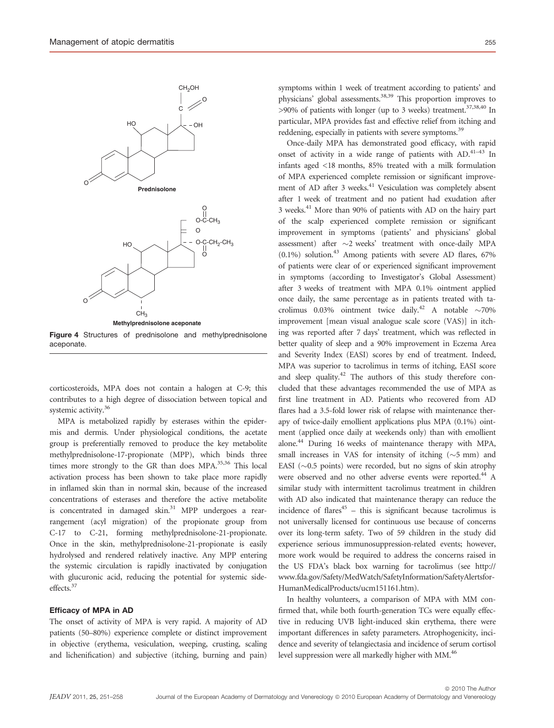

Figure 4 Structures of prednisolone and methylprednisolone aceponate.

corticosteroids, MPA does not contain a halogen at C-9; this contributes to a high degree of dissociation between topical and systemic activity.<sup>36</sup>

MPA is metabolized rapidly by esterases within the epidermis and dermis. Under physiological conditions, the acetate group is preferentially removed to produce the key metabolite methylprednisolone-17-propionate (MPP), which binds three times more strongly to the GR than does  $MPA$ <sup>35,36</sup> This local activation process has been shown to take place more rapidly in inflamed skin than in normal skin, because of the increased concentrations of esterases and therefore the active metabolite is concentrated in damaged skin. $31$  MPP undergoes a rearrangement (acyl migration) of the propionate group from C-17 to C-21, forming methylprednisolone-21-propionate. Once in the skin, methylprednisolone-21-propionate is easily hydrolysed and rendered relatively inactive. Any MPP entering the systemic circulation is rapidly inactivated by conjugation with glucuronic acid, reducing the potential for systemic sideeffects.<sup>37</sup>

## Efficacy of MPA in AD

The onset of activity of MPA is very rapid. A majority of AD patients (50–80%) experience complete or distinct improvement in objective (erythema, vesiculation, weeping, crusting, scaling and lichenification) and subjective (itching, burning and pain)

symptoms within 1 week of treatment according to patients' and physicians' global assessments.38,39 This proportion improves to >90% of patients with longer (up to 3 weeks) treatment.<sup>37,38,40</sup> In particular, MPA provides fast and effective relief from itching and reddening, especially in patients with severe symptoms.<sup>39</sup>

Once-daily MPA has demonstrated good efficacy, with rapid onset of activity in a wide range of patients with AD.41–43 In infants aged <18 months, 85% treated with a milk formulation of MPA experienced complete remission or significant improvement of AD after 3 weeks.<sup>41</sup> Vesiculation was completely absent after 1 week of treatment and no patient had exudation after 3 weeks.41 More than 90% of patients with AD on the hairy part of the scalp experienced complete remission or significant improvement in symptoms (patients' and physicians' global assessment) after  $\sim$ 2 weeks' treatment with once-daily MPA  $(0.1\%)$  solution.<sup>43</sup> Among patients with severe AD flares, 67% of patients were clear of or experienced significant improvement in symptoms (according to Investigator's Global Assessment) after 3 weeks of treatment with MPA 0.1% ointment applied once daily, the same percentage as in patients treated with tacrolimus 0.03% ointment twice daily.<sup>42</sup> A notable  $\sim$ 70% improvement [mean visual analogue scale score (VAS)] in itching was reported after 7 days' treatment, which was reflected in better quality of sleep and a 90% improvement in Eczema Area and Severity Index (EASI) scores by end of treatment. Indeed, MPA was superior to tacrolimus in terms of itching, EASI score and sleep quality. $42$  The authors of this study therefore concluded that these advantages recommended the use of MPA as first line treatment in AD. Patients who recovered from AD flares had a 3.5-fold lower risk of relapse with maintenance therapy of twice-daily emollient applications plus MPA (0.1%) ointment (applied once daily at weekends only) than with emollient alone.44 During 16 weeks of maintenance therapy with MPA, small increases in VAS for intensity of itching  $(\sim 5 \text{ mm})$  and EASI ( $\sim$ 0.5 points) were recorded, but no signs of skin atrophy were observed and no other adverse events were reported.<sup>44</sup> A similar study with intermittent tacrolimus treatment in children with AD also indicated that maintenance therapy can reduce the incidence of flares $45$  – this is significant because tacrolimus is not universally licensed for continuous use because of concerns over its long-term safety. Two of 59 children in the study did experience serious immunosuppression-related events; however, more work would be required to address the concerns raised in the US FDA's black box warning for tacrolimus (see http:// www.fda.gov/Safety/MedWatch/SafetyInformation/SafetyAlertsfor-HumanMedicalProducts/ucm151161.htm).

In healthy volunteers, a comparison of MPA with MM confirmed that, while both fourth-generation TCs were equally effective in reducing UVB light-induced skin erythema, there were important differences in safety parameters. Atrophogenicity, incidence and severity of telangiectasia and incidence of serum cortisol level suppression were all markedly higher with MM.<sup>46</sup>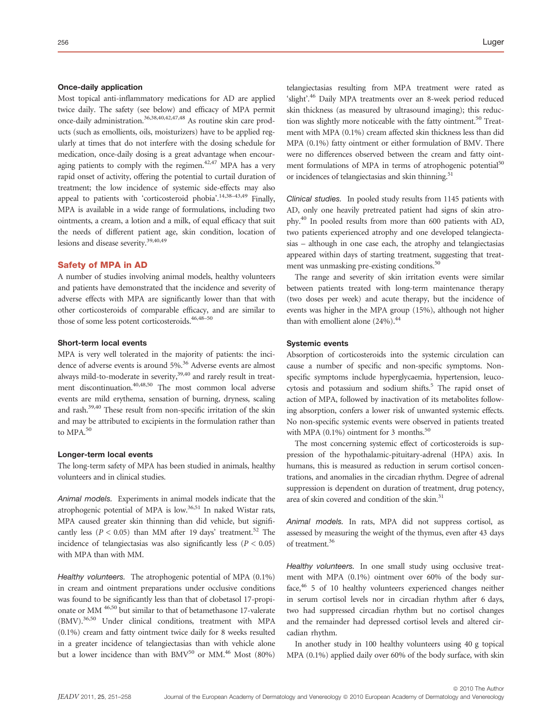#### Once-daily application

Most topical anti-inflammatory medications for AD are applied twice daily. The safety (see below) and efficacy of MPA permit once-daily administration.<sup>36,38,40,42,47,48</sup> As routine skin care products (such as emollients, oils, moisturizers) have to be applied regularly at times that do not interfere with the dosing schedule for medication, once-daily dosing is a great advantage when encouraging patients to comply with the regimen.<sup>42,47</sup> MPA has a very rapid onset of activity, offering the potential to curtail duration of treatment; the low incidence of systemic side-effects may also appeal to patients with 'corticosteroid phobia'.14,38–43,49 Finally, MPA is available in a wide range of formulations, including two ointments, a cream, a lotion and a milk, of equal efficacy that suit the needs of different patient age, skin condition, location of lesions and disease severity.<sup>39,40,49</sup>

# Safety of MPA in AD

A number of studies involving animal models, healthy volunteers and patients have demonstrated that the incidence and severity of adverse effects with MPA are significantly lower than that with other corticosteroids of comparable efficacy, and are similar to those of some less potent corticosteroids.<sup>46,48–50</sup>

#### Short-term local events

MPA is very well tolerated in the majority of patients: the incidence of adverse events is around 5%.<sup>36</sup> Adverse events are almost always mild-to-moderate in severity, $39,40$  and rarely result in treatment discontinuation.40,48,50 The most common local adverse events are mild erythema, sensation of burning, dryness, scaling and rash.39,40 These result from non-specific irritation of the skin and may be attributed to excipients in the formulation rather than to  $\mbox{MPA.}^{50}$ 

#### Longer-term local events

The long-term safety of MPA has been studied in animals, healthy volunteers and in clinical studies.

Animal models. Experiments in animal models indicate that the atrophogenic potential of MPA is low.<sup>36,51</sup> In naked Wistar rats, MPA caused greater skin thinning than did vehicle, but significantly less ( $P < 0.05$ ) than MM after 19 days' treatment.<sup>52</sup> The incidence of telangiectasias was also significantly less ( $P < 0.05$ ) with MPA than with MM.

Healthy volunteers. The atrophogenic potential of MPA (0.1%) in cream and ointment preparations under occlusive conditions was found to be significantly less than that of clobetasol 17-propionate or MM 46,50 but similar to that of betamethasone 17-valerate (BMV).36,50 Under clinical conditions, treatment with MPA (0.1%) cream and fatty ointment twice daily for 8 weeks resulted in a greater incidence of telangiectasias than with vehicle alone but a lower incidence than with  $BMV^{50}$  or  $MM^{46}$  Most (80%) telangiectasias resulting from MPA treatment were rated as 'slight'.46 Daily MPA treatments over an 8-week period reduced skin thickness (as measured by ultrasound imaging); this reduction was slightly more noticeable with the fatty ointment.<sup>50</sup> Treatment with MPA (0.1%) cream affected skin thickness less than did MPA (0.1%) fatty ointment or either formulation of BMV. There were no differences observed between the cream and fatty ointment formulations of MPA in terms of atrophogenic potential<sup>50</sup> or incidences of telangiectasias and skin thinning.<sup>51</sup>

Clinical studies. In pooled study results from 1145 patients with AD, only one heavily pretreated patient had signs of skin atrophy.40 In pooled results from more than 600 patients with AD, two patients experienced atrophy and one developed telangiectasias – although in one case each, the atrophy and telangiectasias appeared within days of starting treatment, suggesting that treatment was unmasking pre-existing conditions.<sup>50</sup>

The range and severity of skin irritation events were similar between patients treated with long-term maintenance therapy (two doses per week) and acute therapy, but the incidence of events was higher in the MPA group (15%), although not higher than with emollient alone  $(24%)$ .<sup>44</sup>

#### Systemic events

Absorption of corticosteroids into the systemic circulation can cause a number of specific and non-specific symptoms. Nonspecific symptoms include hyperglycaemia, hypertension, leucocytosis and potassium and sodium shifts.<sup>5</sup> The rapid onset of action of MPA, followed by inactivation of its metabolites following absorption, confers a lower risk of unwanted systemic effects. No non-specific systemic events were observed in patients treated with MPA  $(0.1\%)$  ointment for 3 months.<sup>50</sup>

The most concerning systemic effect of corticosteroids is suppression of the hypothalamic-pituitary-adrenal (HPA) axis. In humans, this is measured as reduction in serum cortisol concentrations, and anomalies in the circadian rhythm. Degree of adrenal suppression is dependent on duration of treatment, drug potency, area of skin covered and condition of the skin.<sup>31</sup>

Animal models. In rats, MPA did not suppress cortisol, as assessed by measuring the weight of the thymus, even after 43 days of treatment.<sup>36</sup>

Healthy volunteers. In one small study using occlusive treatment with MPA (0.1%) ointment over 60% of the body surface,<sup>46</sup> 5 of 10 healthy volunteers experienced changes neither in serum cortisol levels nor in circadian rhythm after 6 days, two had suppressed circadian rhythm but no cortisol changes and the remainder had depressed cortisol levels and altered circadian rhythm.

In another study in 100 healthy volunteers using 40 g topical MPA (0.1%) applied daily over 60% of the body surface, with skin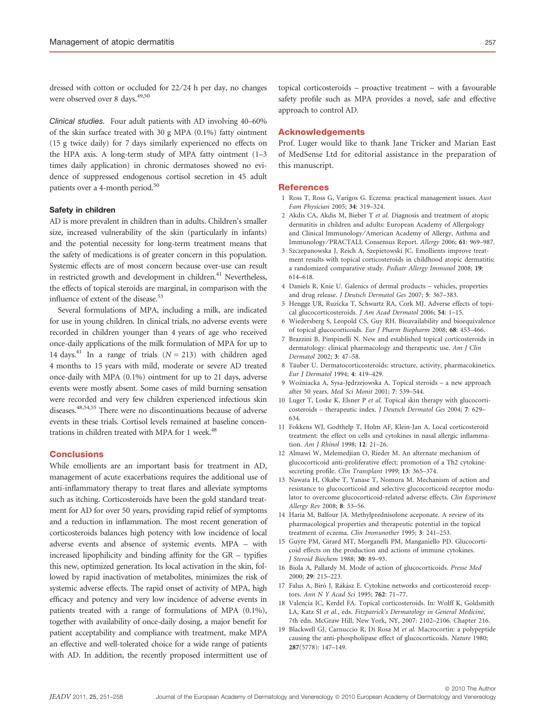Clinical studies. Four adult patients with AD involving 40–60% of the skin surface treated with 30 g MPA (0.1%) fatty ointment (15 g twice daily) for 7 days similarly experienced no effects on the HPA axis. A long-term study of MPA fatty ointment (1–3 times daily application) in chronic dermatoses showed no evidence of suppressed endogenous cortisol secretion in 45 adult patients over a 4-month period.<sup>50</sup>

#### Safety in children

AD is more prevalent in children than in adults. Children's smaller size, increased vulnerability of the skin (particularly in infants) and the potential necessity for long-term treatment means that the safety of medications is of greater concern in this population. Systemic effects are of most concern because over-use can result in restricted growth and development in children.<sup>41</sup> Nevertheless, the effects of topical steroids are marginal, in comparison with the influence of extent of the disease.<sup>53</sup>

Several formulations of MPA, including a milk, are indicated for use in young children. In clinical trials, no adverse events were recorded in children younger than 4 years of age who received once-daily applications of the milk formulation of MPA for up to 14 days.<sup>41</sup> In a range of trials  $(N = 213)$  with children aged 4 months to 15 years with mild, moderate or severe AD treated once-daily with MPA (0.1%) ointment for up to 21 days, adverse events were mostly absent. Some cases of mild burning sensation were recorded and very few children experienced infectious skin diseases.48,54,55 There were no discontinuations because of adverse events in these trials. Cortisol levels remained at baseline concentrations in children treated with MPA for 1 week.<sup>48</sup>

# **Conclusions**

While emollients are an important basis for treatment in AD, management of acute exacerbations requires the additional use of anti-inflammatory therapy to treat flares and alleviate symptoms such as itching. Corticosteroids have been the gold standard treatment for AD for over 50 years, providing rapid relief of symptoms and a reduction in inflammation. The most recent generation of corticosteroids balances high potency with low incidence of local adverse events and absence of systemic events. MPA – with increased lipophilicity and binding affinity for the GR – typifies this new, optimized generation. Its local activation in the skin, followed by rapid inactivation of metabolites, minimizes the risk of systemic adverse effects. The rapid onset of activity of MPA, high efficacy and potency and very low incidence of adverse events in patients treated with a range of formulations of MPA (0.1%), together with availability of once-daily dosing, a major benefit for patient acceptability and compliance with treatment, make MPA an effective and well-tolerated choice for a wide range of patients with AD. In addition, the recently proposed intermittent use of topical corticosteroids – proactive treatment – with a favourable safety profile such as MPA provides a novel, safe and effective approach to control AD.

# Acknowledgements

Prof. Luger would like to thank Jane Tricker and Marian East of MedSense Ltd for editorial assistance in the preparation of this manuscript.

#### **References**

- 1 Ross T, Ross G, Varigos G. Eczema: practical management issues. Aust Fam Physician 2005; 34: 319–324.
- 2 Akdis CA, Akdis M, Bieber T et al. Diagnosis and treatment of atopic dermatitis in children and adults: European Academy of Allergology and Clinical Immunology/American Academy of Allergy, Asthma and Immunology ⁄ PRACTALL Consensus Report. Allergy 2006; 61: 969–987.
- 3 Szczepanowska J, Reich A, Szepietowski JC. Emollients improve treatment results with topical corticosteroids in childhood atopic dermatitis: a randomized comparative study. Pediatr Allergy Immunol 2008; 19: 614–618.
- 4 Daniels R, Knie U. Galenics of dermal products vehicles, properties and drug release. J Deutsch Dermatol Ges 2007; 5: 367–383.
- 5 Hengge UR, Ruzicka T, Schwartz RA, Cork MJ. Adverse effects of topical glucocorticosteroids. J Am Acad Dermatol 2006; 54: 1–15.
- 6 Wiedersberg S, Leopold CS, Guy RH. Bioavailability and bioequivalence of topical glucocorticoids. Eur J Pharm Biopharm 2008; 68: 453–466.
- 7 Brazzini B, Pimpinelli N. New and established topical corticosteroids in dermatology: clinical pharmacology and therapeutic use. Am J Clin Dermatol 2002; 3: 47–58.
- 8 Täuber U. Dermatocorticosteroids: structure, activity, pharmacokinetics. Eur J Dermatol 1994; 4: 419–429.
- 9 Woźniacka A, Sysa-Jędrzejowska A. Topical steroids a new approach after 50 years. Med Sci Monit 2001; 7: 539–544.
- 10 Luger T, Loske K, Elsner P et al. Topical skin therapy with glucocorticosteroids – therapeutic index. J Deutsch Dermatol Ges 2004; 7: 629– 634.
- 11 Fokkens WJ, Godthelp T, Holm AF, Klein-Jan A. Local corticosteroid treatment: the effect on cells and cytokines in nasal allergic inflammation. Am J Rhinol 1998; 12: 21–26.
- 12 Almawi W, Melemedjian O, Rieder M. An alternate mechanism of glucocorticoid anti-proliferative effect: promotion of a Th2 cytokinesecreting profile. Clin Transplant 1999; 13: 365-374.
- 13 Nawata H, Okabe T, Yanase T, Nomura M. Mechanism of action and resistance to glucocorticoid and selective glucocorticoid receptor modulator to overcome glucocorticoid-related adverse effects. Clin Experiment Allergy Rev 2008; 8: 53–56.
- 14 Haria M, Balfour JA. Methylprednisolone aceponate. A review of its pharmacological properties and therapeutic potential in the topical treatment of eczema. Clin Immunother 1995; 3: 241–253.
- 15 Guyre PM, Girard MT, Morganelli PM, Manganiello PD. Glucocorticoid effects on the production and actions of immune cytokines. J Steroid Biochem 1988; 30: 89–93.
- 16 Biola A, Pallardy M. Mode of action of glucocorticoids. Presse Med 2000; 29: 215–223.
- 17 Falus A, Biró J, Rákász E. Cytokine networks and corticosteroid receptors. Ann N Y Acad Sci 1995; 762: 71–77.
- 18 Valencia IC, Kerdel FA. Topical corticosteroids. In: Wolff K, Goldsmith LA, Katz SI et al., eds. Fitzpatrick's Dermatology in General Medicine, 7th edn. McGraw Hill, New York, NY, 2007: 2102–2106. Chapter 216.
- 19 Blackwell GJ, Carnuccio R, Di Rosa M et al. Macrocortin: a polypeptide causing the anti-phospholipase effect of glucocorticoids. Nature 1980; 287(5778): 147–149.